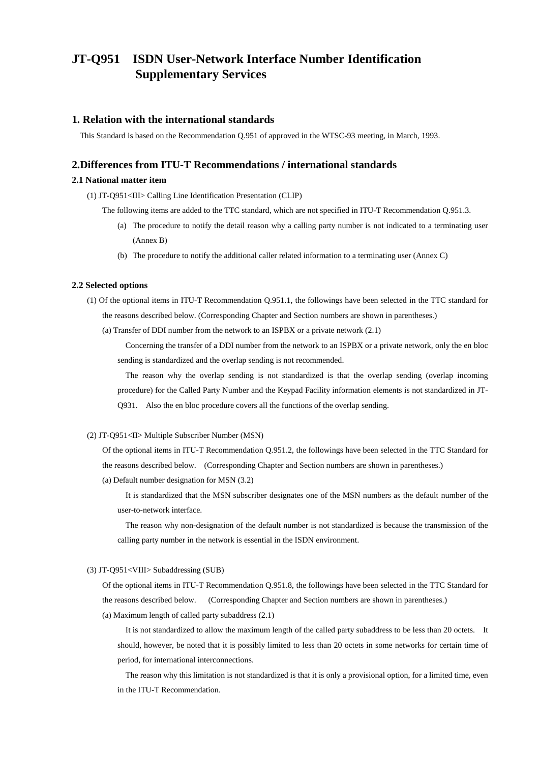# **JT-Q951 ISDN User-Network Interface Number Identification Supplementary Services**

### **1. Relation with the international standards**

This Standard is based on the Recommendation Q.951 of approved in the WTSC-93 meeting, in March, 1993.

## **2.Differences from ITU-T Recommendations / international standards**

### **2.1 National matter item**

(1) JT-Q951<III> Calling Line Identification Presentation (CLIP)

- The following items are added to the TTC standard, which are not specified in ITU-T Recommendation Q.951.3.
	- (a) The procedure to notify the detail reason why a calling party number is not indicated to a terminating user (Annex B)
	- (b) The procedure to notify the additional caller related information to a terminating user (Annex C)

#### **2.2 Selected options**

- (1) Of the optional items in ITU-T Recommendation Q.951.1, the followings have been selected in the TTC standard for the reasons described below. (Corresponding Chapter and Section numbers are shown in parentheses.)
	- (a) Transfer of DDI number from the network to an ISPBX or a private network (2.1)

 Concerning the transfer of a DDI number from the network to an ISPBX or a private network, only the en bloc sending is standardized and the overlap sending is not recommended.

 The reason why the overlap sending is not standardized is that the overlap sending (overlap incoming procedure) for the Called Party Number and the Keypad Facility information elements is not standardized in JT-Q931. Also the en bloc procedure covers all the functions of the overlap sending.

#### (2) JT-Q951<II> Multiple Subscriber Number (MSN)

Of the optional items in ITU-T Recommendation Q.951.2, the followings have been selected in the TTC Standard for the reasons described below. (Corresponding Chapter and Section numbers are shown in parentheses.)

(a) Default number designation for MSN (3.2)

 It is standardized that the MSN subscriber designates one of the MSN numbers as the default number of the user-to-network interface.

 The reason why non-designation of the default number is not standardized is because the transmission of the calling party number in the network is essential in the ISDN environment.

#### (3) JT-Q951<VIII> Subaddressing (SUB)

Of the optional items in ITU-T Recommendation Q.951.8, the followings have been selected in the TTC Standard for the reasons described below. (Corresponding Chapter and Section numbers are shown in parentheses.) (a) Maximum length of called party subaddress (2.1)

 It is not standardized to allow the maximum length of the called party subaddress to be less than 20 octets. It should, however, be noted that it is possibly limited to less than 20 octets in some networks for certain time of period, for international interconnections.

 The reason why this limitation is not standardized is that it is only a provisional option, for a limited time, even in the ITU-T Recommendation.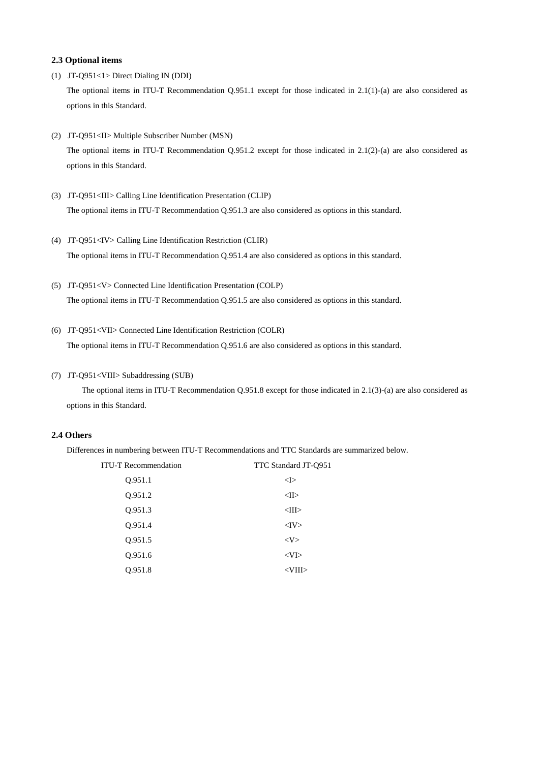#### **2.3 Optional items**

- (1) JT-Q951<1> Direct Dialing IN (DDI) The optional items in ITU-T Recommendation Q.951.1 except for those indicated in 2.1(1)-(a) are also considered as options in this Standard.
- (2) JT-Q951<II> Multiple Subscriber Number (MSN) The optional items in ITU-T Recommendation Q.951.2 except for those indicated in 2.1(2)-(a) are also considered as options in this Standard.
- (3) JT-Q951<III> Calling Line Identification Presentation (CLIP) The optional items in ITU-T Recommendation Q.951.3 are also considered as options in this standard.
- (4) JT-Q951<IV> Calling Line Identification Restriction (CLIR) The optional items in ITU-T Recommendation Q.951.4 are also considered as options in this standard.
- (5) JT-Q951<V> Connected Line Identification Presentation (COLP) The optional items in ITU-T Recommendation Q.951.5 are also considered as options in this standard.
- (6) JT-Q951<VII> Connected Line Identification Restriction (COLR) The optional items in ITU-T Recommendation Q.951.6 are also considered as options in this standard.
- (7) JT-Q951<VIII> Subaddressing (SUB)

The optional items in ITU-T Recommendation Q.951.8 except for those indicated in 2.1(3)-(a) are also considered as options in this Standard.

### **2.4 Others**

Differences in numbering between ITU-T Recommendations and TTC Standards are summarized below.

| <b>ITU-T Recommendation</b> | TTC Standard JT-Q951 |  |
|-----------------------------|----------------------|--|
| Q.951.1                     | $<$ I $>$            |  |
| Q.951.2                     | $<$ II $>$           |  |
| Q.951.3                     | $<$ III $>$          |  |
| Q.951.4                     | $<$ IV $>$           |  |
| Q.951.5                     | $<\vee>$             |  |
| Q.951.6                     | $<$ VI $>$           |  |
| O.951.8                     | $<$ VIII $>$         |  |